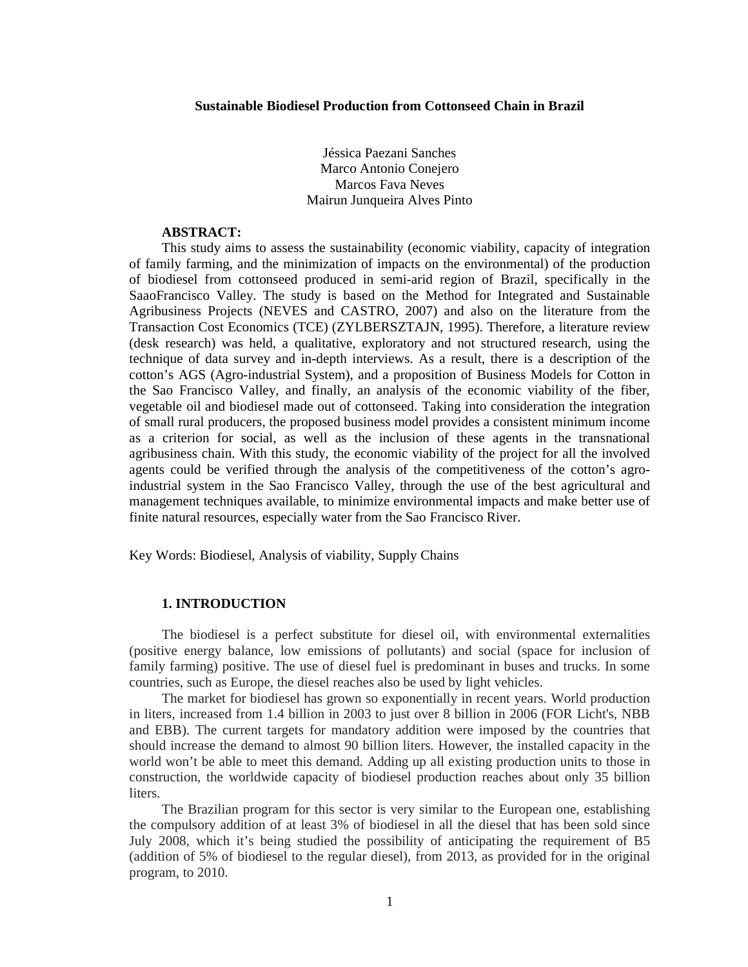Jéssica Paezani Sanches Marco Antonio Conejero Marcos Fava Neves Mairun Junqueira Alves Pinto

## **ABSTRACT:**

This study aims to assess the sustainability (economic viability, capacity of integration of family farming, and the minimization of impacts on the environmental) of the production of biodiesel from cottonseed produced in semi-arid region of Brazil, specifically in the SaaoFrancisco Valley. The study is based on the Method for Integrated and Sustainable Agribusiness Projects (NEVES and CASTRO, 2007) and also on the literature from the Transaction Cost Economics (TCE) (ZYLBERSZTAJN, 1995). Therefore, a literature review (desk research) was held, a qualitative, exploratory and not structured research, using the technique of data survey and in-depth interviews. As a result, there is a description of the cotton's AGS (Agro-industrial System), and a proposition of Business Models for Cotton in the Sao Francisco Valley, and finally, an analysis of the economic viability of the fiber, vegetable oil and biodiesel made out of cottonseed. Taking into consideration the integration of small rural producers, the proposed business model provides a consistent minimum income as a criterion for social, as well as the inclusion of these agents in the transnational agribusiness chain. With this study, the economic viability of the project for all the involved agents could be verified through the analysis of the competitiveness of the cotton's agroindustrial system in the Sao Francisco Valley, through the use of the best agricultural and management techniques available, to minimize environmental impacts and make better use of finite natural resources, especially water from the Sao Francisco River.

Key Words: Biodiesel, Analysis of viability, Supply Chains

## **1. INTRODUCTION**

The biodiesel is a perfect substitute for diesel oil, with environmental externalities (positive energy balance, low emissions of pollutants) and social (space for inclusion of family farming) positive. The use of diesel fuel is predominant in buses and trucks. In some countries, such as Europe, the diesel reaches also be used by light vehicles.

The market for biodiesel has grown so exponentially in recent years. World production in liters, increased from 1.4 billion in 2003 to just over 8 billion in 2006 (FOR Licht's, NBB and EBB). The current targets for mandatory addition were imposed by the countries that should increase the demand to almost 90 billion liters. However, the installed capacity in the world won't be able to meet this demand. Adding up all existing production units to those in construction, the worldwide capacity of biodiesel production reaches about only 35 billion liters.

The Brazilian program for this sector is very similar to the European one, establishing the compulsory addition of at least 3% of biodiesel in all the diesel that has been sold since July 2008, which it's being studied the possibility of anticipating the requirement of B5 (addition of 5% of biodiesel to the regular diesel), from 2013, as provided for in the original program, to 2010.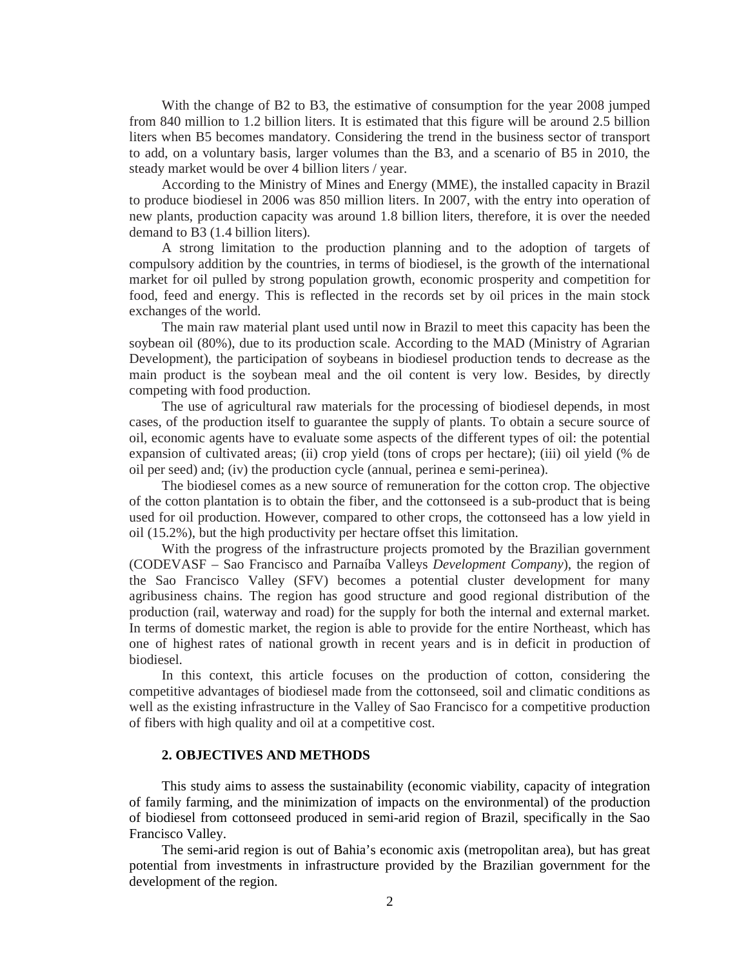With the change of B2 to B3, the estimative of consumption for the year 2008 jumped from 840 million to 1.2 billion liters. It is estimated that this figure will be around 2.5 billion liters when B5 becomes mandatory. Considering the trend in the business sector of transport to add, on a voluntary basis, larger volumes than the B3, and a scenario of B5 in 2010, the steady market would be over 4 billion liters / year.

According to the Ministry of Mines and Energy (MME), the installed capacity in Brazil to produce biodiesel in 2006 was 850 million liters. In 2007, with the entry into operation of new plants, production capacity was around 1.8 billion liters, therefore, it is over the needed demand to B3 (1.4 billion liters).

A strong limitation to the production planning and to the adoption of targets of compulsory addition by the countries, in terms of biodiesel, is the growth of the international market for oil pulled by strong population growth, economic prosperity and competition for food, feed and energy. This is reflected in the records set by oil prices in the main stock exchanges of the world.

The main raw material plant used until now in Brazil to meet this capacity has been the soybean oil (80%), due to its production scale. According to the MAD (Ministry of Agrarian Development), the participation of soybeans in biodiesel production tends to decrease as the main product is the soybean meal and the oil content is very low. Besides, by directly competing with food production.

The use of agricultural raw materials for the processing of biodiesel depends, in most cases, of the production itself to guarantee the supply of plants. To obtain a secure source of oil, economic agents have to evaluate some aspects of the different types of oil: the potential expansion of cultivated areas; (ii) crop yield (tons of crops per hectare); (iii) oil yield (% de oil per seed) and; (iv) the production cycle (annual, perinea e semi-perinea).

The biodiesel comes as a new source of remuneration for the cotton crop. The objective of the cotton plantation is to obtain the fiber, and the cottonseed is a sub-product that is being used for oil production. However, compared to other crops, the cottonseed has a low yield in oil (15.2%), but the high productivity per hectare offset this limitation.

With the progress of the infrastructure projects promoted by the Brazilian government (CODEVASF – Sao Francisco and Parnaíba Valleys *Development Company*), the region of the Sao Francisco Valley (SFV) becomes a potential cluster development for many agribusiness chains. The region has good structure and good regional distribution of the production (rail, waterway and road) for the supply for both the internal and external market. In terms of domestic market, the region is able to provide for the entire Northeast, which has one of highest rates of national growth in recent years and is in deficit in production of biodiesel.

In this context, this article focuses on the production of cotton, considering the competitive advantages of biodiesel made from the cottonseed, soil and climatic conditions as well as the existing infrastructure in the Valley of Sao Francisco for a competitive production of fibers with high quality and oil at a competitive cost.

#### **2. OBJECTIVES AND METHODS**

This study aims to assess the sustainability (economic viability, capacity of integration of family farming, and the minimization of impacts on the environmental) of the production of biodiesel from cottonseed produced in semi-arid region of Brazil, specifically in the Sao Francisco Valley.

The semi-arid region is out of Bahia's economic axis (metropolitan area), but has great potential from investments in infrastructure provided by the Brazilian government for the development of the region.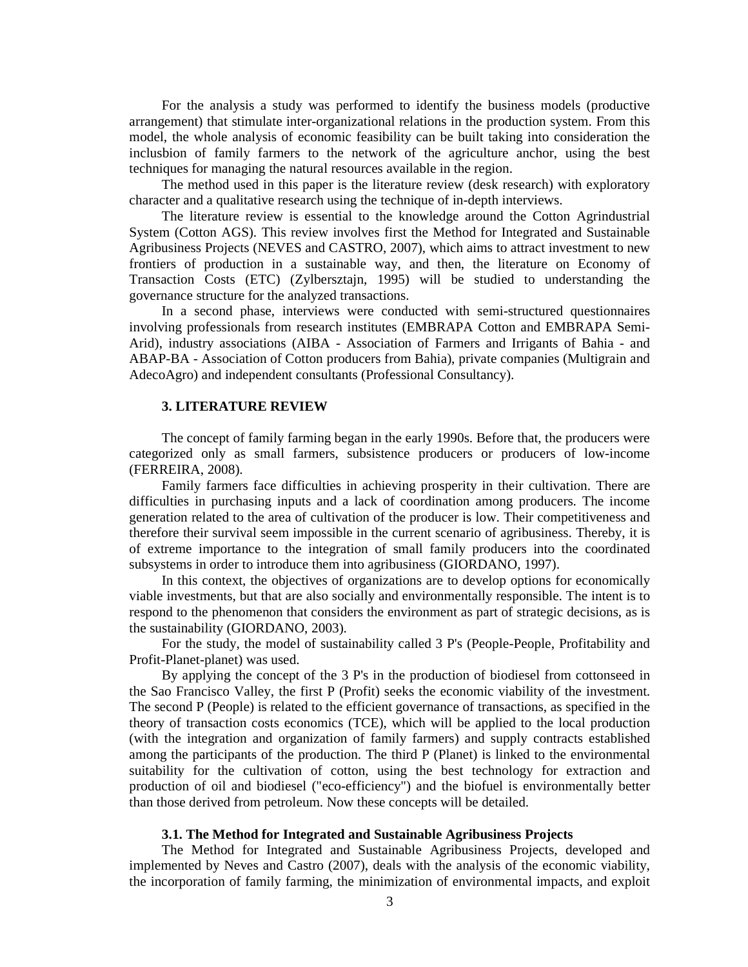For the analysis a study was performed to identify the business models (productive arrangement) that stimulate inter-organizational relations in the production system. From this model, the whole analysis of economic feasibility can be built taking into consideration the inclusbion of family farmers to the network of the agriculture anchor, using the best techniques for managing the natural resources available in the region.

The method used in this paper is the literature review (desk research) with exploratory character and a qualitative research using the technique of in-depth interviews.

The literature review is essential to the knowledge around the Cotton Agrindustrial System (Cotton AGS). This review involves first the Method for Integrated and Sustainable Agribusiness Projects (NEVES and CASTRO, 2007), which aims to attract investment to new frontiers of production in a sustainable way, and then, the literature on Economy of Transaction Costs (ETC) (Zylbersztajn, 1995) will be studied to understanding the governance structure for the analyzed transactions.

In a second phase, interviews were conducted with semi-structured questionnaires involving professionals from research institutes (EMBRAPA Cotton and EMBRAPA Semi-Arid), industry associations (AIBA - Association of Farmers and Irrigants of Bahia - and ABAP-BA - Association of Cotton producers from Bahia), private companies (Multigrain and AdecoAgro) and independent consultants (Professional Consultancy).

### **3. LITERATURE REVIEW**

The concept of family farming began in the early 1990s. Before that, the producers were categorized only as small farmers, subsistence producers or producers of low-income (FERREIRA, 2008).

Family farmers face difficulties in achieving prosperity in their cultivation. There are difficulties in purchasing inputs and a lack of coordination among producers. The income generation related to the area of cultivation of the producer is low. Their competitiveness and therefore their survival seem impossible in the current scenario of agribusiness. Thereby, it is of extreme importance to the integration of small family producers into the coordinated subsystems in order to introduce them into agribusiness (GIORDANO, 1997).

In this context, the objectives of organizations are to develop options for economically viable investments, but that are also socially and environmentally responsible. The intent is to respond to the phenomenon that considers the environment as part of strategic decisions, as is the sustainability (GIORDANO, 2003).

For the study, the model of sustainability called 3 P's (People-People, Profitability and Profit-Planet-planet) was used.

By applying the concept of the 3 P's in the production of biodiesel from cottonseed in the Sao Francisco Valley, the first P (Profit) seeks the economic viability of the investment. The second P (People) is related to the efficient governance of transactions, as specified in the theory of transaction costs economics (TCE), which will be applied to the local production (with the integration and organization of family farmers) and supply contracts established among the participants of the production. The third P (Planet) is linked to the environmental suitability for the cultivation of cotton, using the best technology for extraction and production of oil and biodiesel ("eco-efficiency") and the biofuel is environmentally better than those derived from petroleum. Now these concepts will be detailed.

### **3.1. The Method for Integrated and Sustainable Agribusiness Projects**

The Method for Integrated and Sustainable Agribusiness Projects, developed and implemented by Neves and Castro (2007), deals with the analysis of the economic viability, the incorporation of family farming, the minimization of environmental impacts, and exploit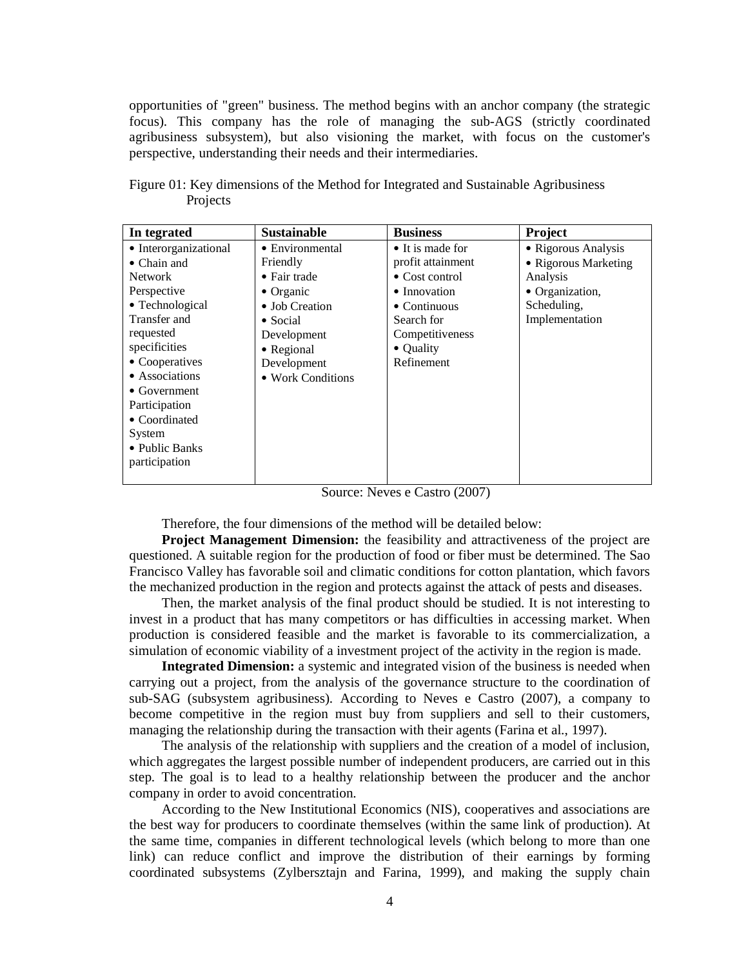opportunities of "green" business. The method begins with an anchor company (the strategic focus). This company has the role of managing the sub-AGS (strictly coordinated agribusiness subsystem), but also visioning the market, with focus on the customer's perspective, understanding their needs and their intermediaries.

| In tegrated           | <b>Sustainable</b>      | <b>Business</b>          | Project              |
|-----------------------|-------------------------|--------------------------|----------------------|
| • Interorganizational | $\bullet$ Environmental | $\bullet$ It is made for | • Rigorous Analysis  |
| $\bullet$ Chain and   | Friendly                | profit attainment        | • Rigorous Marketing |
| Network               | $\bullet$ Fair trade    | $\bullet$ Cost control   | Analysis             |
| Perspective           | $\bullet$ Organic       | • Innovation             | • Organization,      |
| • Technological       | • Job Creation          | $\bullet$ Continuous     | Scheduling,          |
| Transfer and          | $\bullet$ Social        | Search for               | Implementation       |
| requested             | Development             | Competitiveness          |                      |
| specificities         | • Regional              | • Quality                |                      |
| • Cooperatives        | Development             | Refinement               |                      |
| • Associations        | • Work Conditions       |                          |                      |
| $\bullet$ Government  |                         |                          |                      |
| Participation         |                         |                          |                      |
| • Coordinated         |                         |                          |                      |
| System                |                         |                          |                      |
| • Public Banks        |                         |                          |                      |
| participation         |                         |                          |                      |
|                       |                         |                          |                      |

Figure 01: Key dimensions of the Method for Integrated and Sustainable Agribusiness Projects

Source: Neves e Castro (2007)

Therefore, the four dimensions of the method will be detailed below:

**Project Management Dimension:** the feasibility and attractiveness of the project are questioned. A suitable region for the production of food or fiber must be determined. The Sao Francisco Valley has favorable soil and climatic conditions for cotton plantation, which favors the mechanized production in the region and protects against the attack of pests and diseases.

Then, the market analysis of the final product should be studied. It is not interesting to invest in a product that has many competitors or has difficulties in accessing market. When production is considered feasible and the market is favorable to its commercialization, a simulation of economic viability of a investment project of the activity in the region is made.

**Integrated Dimension:** a systemic and integrated vision of the business is needed when carrying out a project, from the analysis of the governance structure to the coordination of sub-SAG (subsystem agribusiness). According to Neves e Castro (2007), a company to become competitive in the region must buy from suppliers and sell to their customers, managing the relationship during the transaction with their agents (Farina et al., 1997).

The analysis of the relationship with suppliers and the creation of a model of inclusion, which aggregates the largest possible number of independent producers, are carried out in this step. The goal is to lead to a healthy relationship between the producer and the anchor company in order to avoid concentration.

According to the New Institutional Economics (NIS), cooperatives and associations are the best way for producers to coordinate themselves (within the same link of production). At the same time, companies in different technological levels (which belong to more than one link) can reduce conflict and improve the distribution of their earnings by forming coordinated subsystems (Zylbersztajn and Farina, 1999), and making the supply chain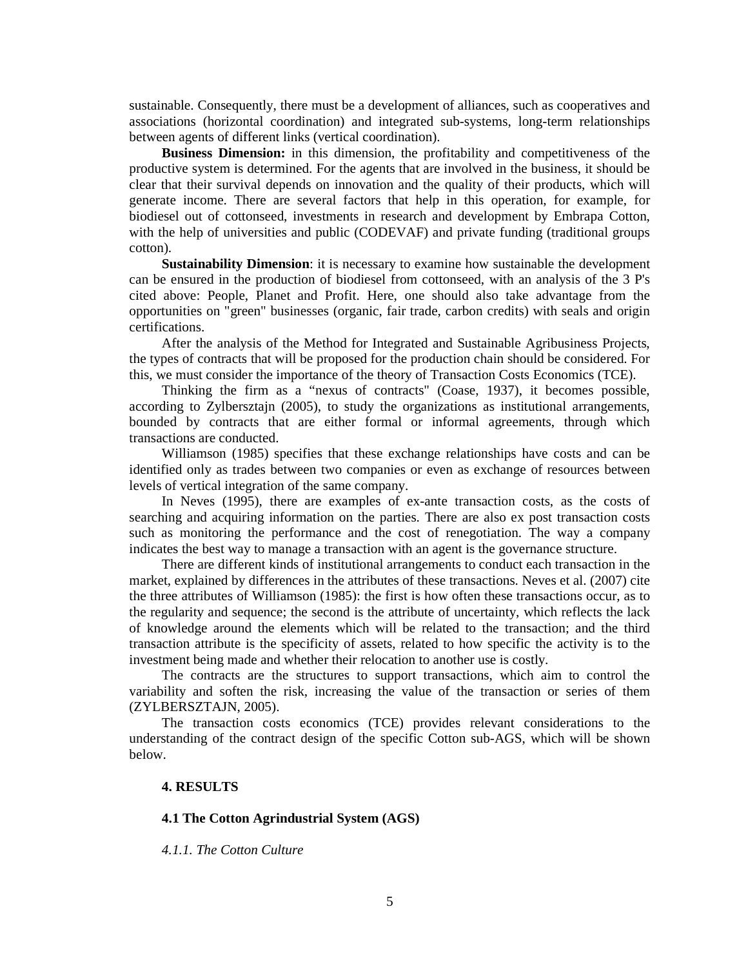sustainable. Consequently, there must be a development of alliances, such as cooperatives and associations (horizontal coordination) and integrated sub-systems, long-term relationships between agents of different links (vertical coordination).

**Business Dimension:** in this dimension, the profitability and competitiveness of the productive system is determined. For the agents that are involved in the business, it should be clear that their survival depends on innovation and the quality of their products, which will generate income. There are several factors that help in this operation, for example, for biodiesel out of cottonseed, investments in research and development by Embrapa Cotton, with the help of universities and public (CODEVAF) and private funding (traditional groups cotton).

**Sustainability Dimension**: it is necessary to examine how sustainable the development can be ensured in the production of biodiesel from cottonseed, with an analysis of the 3 P's cited above: People, Planet and Profit. Here, one should also take advantage from the opportunities on "green" businesses (organic, fair trade, carbon credits) with seals and origin certifications.

After the analysis of the Method for Integrated and Sustainable Agribusiness Projects, the types of contracts that will be proposed for the production chain should be considered. For this, we must consider the importance of the theory of Transaction Costs Economics (TCE).

Thinking the firm as a "nexus of contracts" (Coase, 1937), it becomes possible, according to Zylbersztajn (2005), to study the organizations as institutional arrangements, bounded by contracts that are either formal or informal agreements, through which transactions are conducted.

Williamson (1985) specifies that these exchange relationships have costs and can be identified only as trades between two companies or even as exchange of resources between levels of vertical integration of the same company.

In Neves (1995), there are examples of ex-ante transaction costs, as the costs of searching and acquiring information on the parties. There are also ex post transaction costs such as monitoring the performance and the cost of renegotiation. The way a company indicates the best way to manage a transaction with an agent is the governance structure.

There are different kinds of institutional arrangements to conduct each transaction in the market, explained by differences in the attributes of these transactions. Neves et al. (2007) cite the three attributes of Williamson (1985): the first is how often these transactions occur, as to the regularity and sequence; the second is the attribute of uncertainty, which reflects the lack of knowledge around the elements which will be related to the transaction; and the third transaction attribute is the specificity of assets, related to how specific the activity is to the investment being made and whether their relocation to another use is costly.

The contracts are the structures to support transactions, which aim to control the variability and soften the risk, increasing the value of the transaction or series of them (ZYLBERSZTAJN, 2005).

The transaction costs economics (TCE) provides relevant considerations to the understanding of the contract design of the specific Cotton sub-AGS, which will be shown below.

### **4. RESULTS**

### **4.1 The Cotton Agrindustrial System (AGS)**

*4.1.1. The Cotton Culture*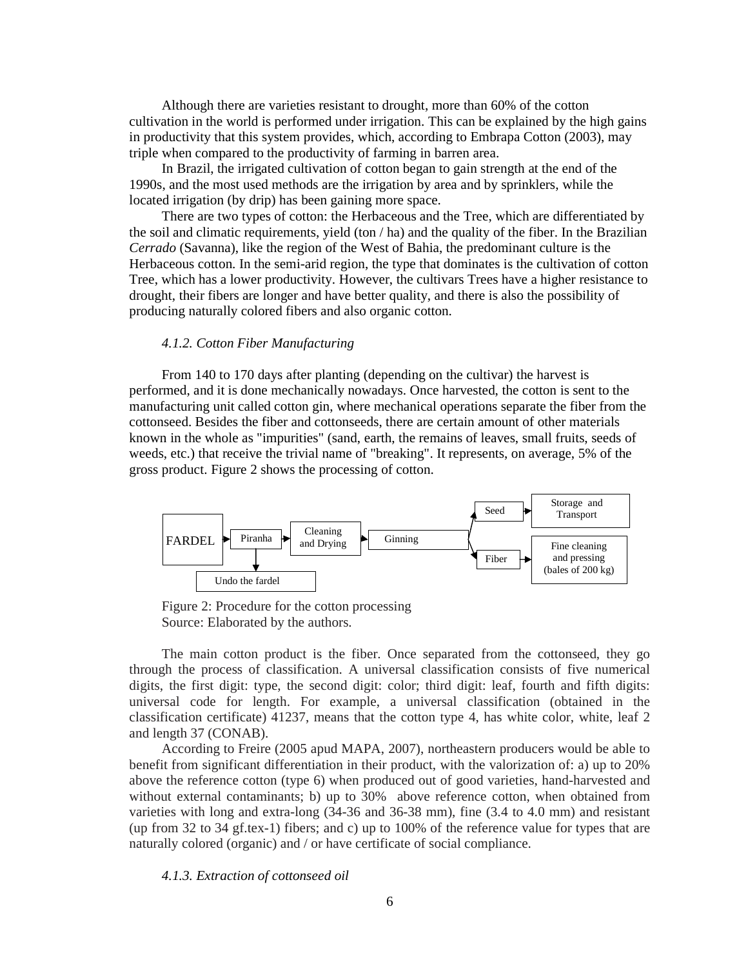Although there are varieties resistant to drought, more than 60% of the cotton cultivation in the world is performed under irrigation. This can be explained by the high gains in productivity that this system provides, which, according to Embrapa Cotton (2003), may triple when compared to the productivity of farming in barren area.

In Brazil, the irrigated cultivation of cotton began to gain strength at the end of the 1990s, and the most used methods are the irrigation by area and by sprinklers, while the located irrigation (by drip) has been gaining more space.

There are two types of cotton: the Herbaceous and the Tree, which are differentiated by the soil and climatic requirements, yield (ton / ha) and the quality of the fiber. In the Brazilian *Cerrado* (Savanna), like the region of the West of Bahia, the predominant culture is the Herbaceous cotton. In the semi-arid region, the type that dominates is the cultivation of cotton Tree, which has a lower productivity. However, the cultivars Trees have a higher resistance to drought, their fibers are longer and have better quality, and there is also the possibility of producing naturally colored fibers and also organic cotton.

#### *4.1.2. Cotton Fiber Manufacturing*

From 140 to 170 days after planting (depending on the cultivar) the harvest is performed, and it is done mechanically nowadays. Once harvested, the cotton is sent to the manufacturing unit called cotton gin, where mechanical operations separate the fiber from the cottonseed. Besides the fiber and cottonseeds, there are certain amount of other materials known in the whole as "impurities" (sand, earth, the remains of leaves, small fruits, seeds of weeds, etc.) that receive the trivial name of "breaking". It represents, on average, 5% of the gross product. Figure 2 shows the processing of cotton.



Figure 2: Procedure for the cotton processing Source: Elaborated by the authors.

The main cotton product is the fiber. Once separated from the cottonseed, they go through the process of classification. A universal classification consists of five numerical digits, the first digit: type, the second digit: color; third digit: leaf, fourth and fifth digits: universal code for length. For example, a universal classification (obtained in the classification certificate) 41237, means that the cotton type 4, has white color, white, leaf 2 and length 37 (CONAB).

According to Freire (2005 apud MAPA, 2007), northeastern producers would be able to benefit from significant differentiation in their product, with the valorization of: a) up to 20% above the reference cotton (type 6) when produced out of good varieties, hand-harvested and without external contaminants; b) up to 30% above reference cotton, when obtained from varieties with long and extra-long (34-36 and 36-38 mm), fine (3.4 to 4.0 mm) and resistant (up from 32 to 34 gf.tex-1) fibers; and c) up to 100% of the reference value for types that are naturally colored (organic) and / or have certificate of social compliance.

*4.1.3. Extraction of cottonseed oil*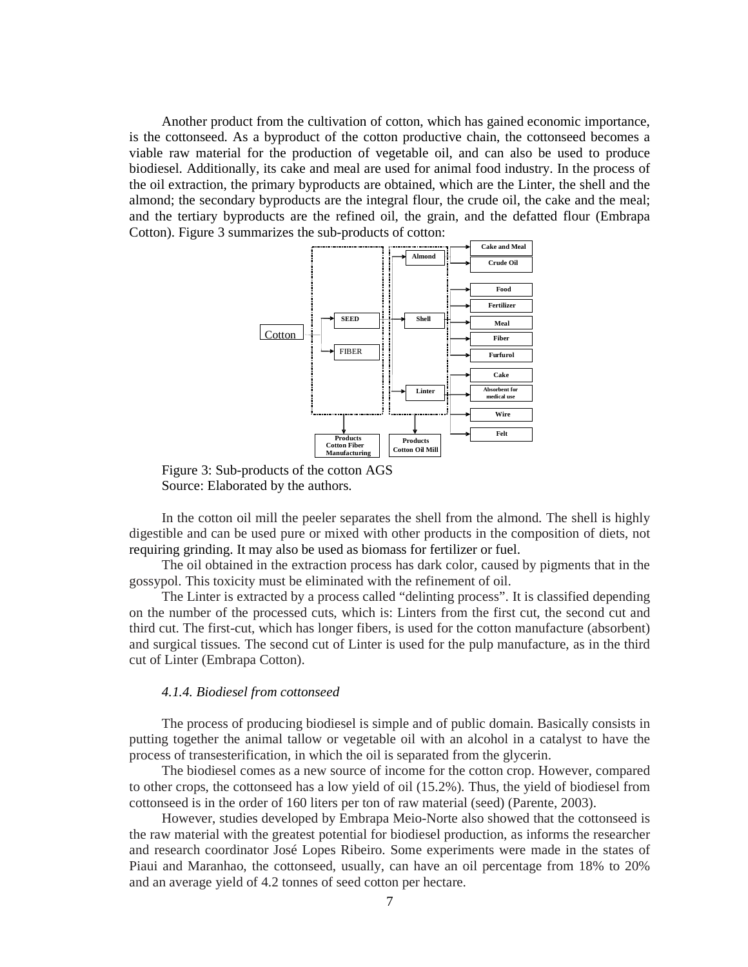Another product from the cultivation of cotton, which has gained economic importance, is the cottonseed. As a byproduct of the cotton productive chain, the cottonseed becomes a viable raw material for the production of vegetable oil, and can also be used to produce biodiesel. Additionally, its cake and meal are used for animal food industry. In the process of the oil extraction, the primary byproducts are obtained, which are the Linter, the shell and the almond; the secondary byproducts are the integral flour, the crude oil, the cake and the meal; and the tertiary byproducts are the refined oil, the grain, and the defatted flour (Embrapa Cotton). Figure 3 summarizes the sub-products of cotton:



Figure 3: Sub-products of the cotton AGS Source: Elaborated by the authors.

In the cotton oil mill the peeler separates the shell from the almond. The shell is highly digestible and can be used pure or mixed with other products in the composition of diets, not requiring grinding. It may also be used as biomass for fertilizer or fuel.

The oil obtained in the extraction process has dark color, caused by pigments that in the gossypol. This toxicity must be eliminated with the refinement of oil.

The Linter is extracted by a process called "delinting process". It is classified depending on the number of the processed cuts, which is: Linters from the first cut, the second cut and third cut. The first-cut, which has longer fibers, is used for the cotton manufacture (absorbent) and surgical tissues. The second cut of Linter is used for the pulp manufacture, as in the third cut of Linter (Embrapa Cotton).

#### *4.1.4. Biodiesel from cottonseed*

The process of producing biodiesel is simple and of public domain. Basically consists in putting together the animal tallow or vegetable oil with an alcohol in a catalyst to have the process of transesterification, in which the oil is separated from the glycerin.

The biodiesel comes as a new source of income for the cotton crop. However, compared to other crops, the cottonseed has a low yield of oil (15.2%). Thus, the yield of biodiesel from cottonseed is in the order of 160 liters per ton of raw material (seed) (Parente, 2003).

However, studies developed by Embrapa Meio-Norte also showed that the cottonseed is the raw material with the greatest potential for biodiesel production, as informs the researcher and research coordinator José Lopes Ribeiro. Some experiments were made in the states of Piaui and Maranhao, the cottonseed, usually, can have an oil percentage from 18% to 20% and an average yield of 4.2 tonnes of seed cotton per hectare.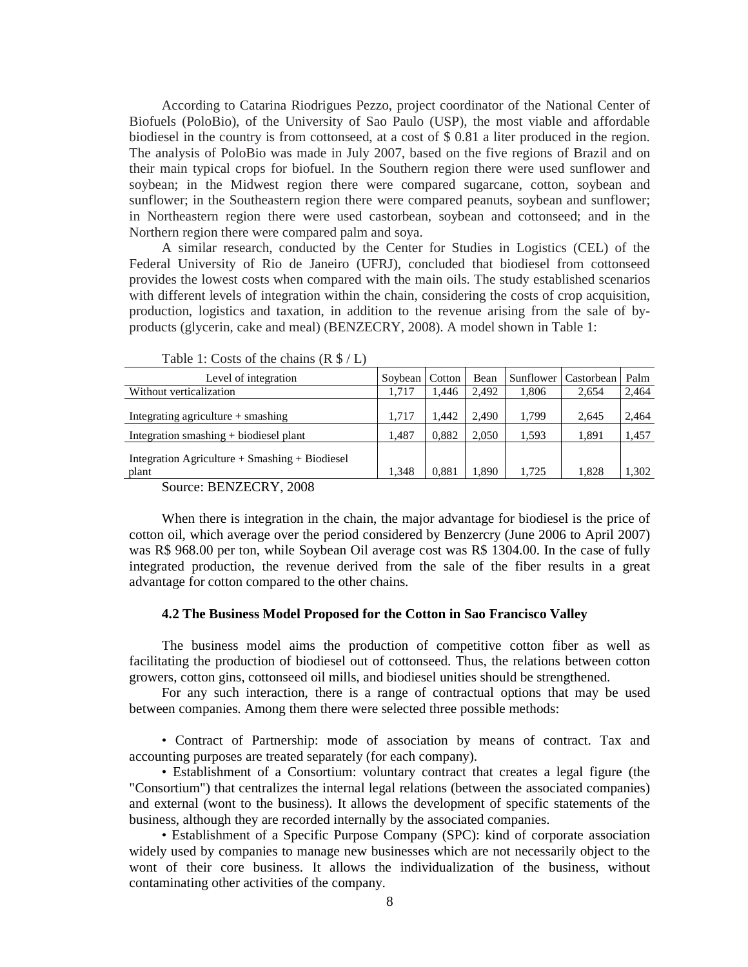According to Catarina Riodrigues Pezzo, project coordinator of the National Center of Biofuels (PoloBio), of the University of Sao Paulo (USP), the most viable and affordable biodiesel in the country is from cottonseed, at a cost of \$ 0.81 a liter produced in the region. The analysis of PoloBio was made in July 2007, based on the five regions of Brazil and on their main typical crops for biofuel. In the Southern region there were used sunflower and soybean; in the Midwest region there were compared sugarcane, cotton, soybean and sunflower; in the Southeastern region there were compared peanuts, soybean and sunflower; in Northeastern region there were used castorbean, soybean and cottonseed; and in the Northern region there were compared palm and soya.

A similar research, conducted by the Center for Studies in Logistics (CEL) of the Federal University of Rio de Janeiro (UFRJ), concluded that biodiesel from cottonseed provides the lowest costs when compared with the main oils. The study established scenarios with different levels of integration within the chain, considering the costs of crop acquisition, production, logistics and taxation, in addition to the revenue arising from the sale of byproducts (glycerin, cake and meal) (BENZECRY, 2008). A model shown in Table 1:

| Level of integration                                                           | Soybean        | Cotton         | Bean           | <b>Sunflower</b> | Castorbean     | Palm           |
|--------------------------------------------------------------------------------|----------------|----------------|----------------|------------------|----------------|----------------|
| Without verticalization                                                        | 1.717          | 1.446          | 2.492          | 1.806            | 2.654          | 2,464          |
| Integrating agriculture + smashing<br>Integration smashing $+$ biodiesel plant | 1.717<br>1.487 | 1.442<br>0.882 | 2.490<br>2.050 | 1.799<br>1.593   | 2.645<br>1,891 | 2,464<br>1,457 |
| Integration Agriculture $+$ Smashing $+$ Biodiesel<br>plant                    | 1.348          | 0.881          | 1.890          | 1.725            | 1.828          | 1.302          |

Table 1: Costs of the chains (R \$ / L)

Source: BENZECRY, 2008

When there is integration in the chain, the major advantage for biodiesel is the price of cotton oil, which average over the period considered by Benzercry (June 2006 to April 2007) was R\$ 968.00 per ton, while Soybean Oil average cost was R\$ 1304.00. In the case of fully integrated production, the revenue derived from the sale of the fiber results in a great advantage for cotton compared to the other chains.

#### **4.2 The Business Model Proposed for the Cotton in Sao Francisco Valley**

The business model aims the production of competitive cotton fiber as well as facilitating the production of biodiesel out of cottonseed. Thus, the relations between cotton growers, cotton gins, cottonseed oil mills, and biodiesel unities should be strengthened.

For any such interaction, there is a range of contractual options that may be used between companies. Among them there were selected three possible methods:

• Contract of Partnership: mode of association by means of contract. Tax and accounting purposes are treated separately (for each company).

• Establishment of a Consortium: voluntary contract that creates a legal figure (the "Consortium") that centralizes the internal legal relations (between the associated companies) and external (wont to the business). It allows the development of specific statements of the business, although they are recorded internally by the associated companies.

• Establishment of a Specific Purpose Company (SPC): kind of corporate association widely used by companies to manage new businesses which are not necessarily object to the wont of their core business. It allows the individualization of the business, without contaminating other activities of the company.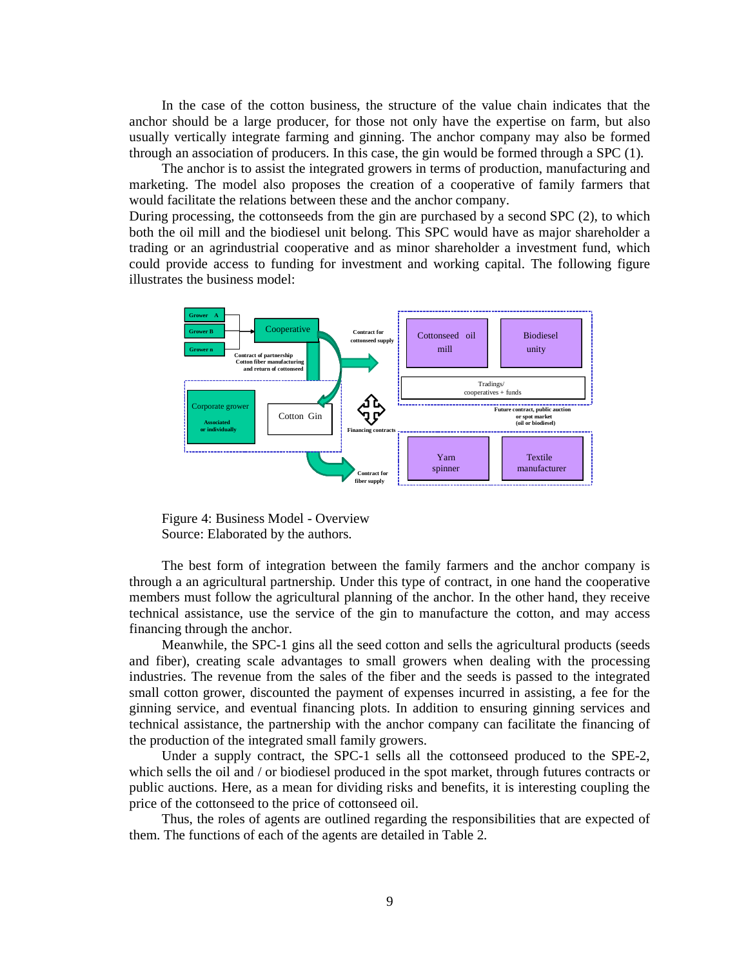In the case of the cotton business, the structure of the value chain indicates that the anchor should be a large producer, for those not only have the expertise on farm, but also usually vertically integrate farming and ginning. The anchor company may also be formed through an association of producers. In this case, the gin would be formed through a SPC (1).

The anchor is to assist the integrated growers in terms of production, manufacturing and marketing. The model also proposes the creation of a cooperative of family farmers that would facilitate the relations between these and the anchor company.

During processing, the cottonseeds from the gin are purchased by a second SPC (2), to which both the oil mill and the biodiesel unit belong. This SPC would have as major shareholder a trading or an agrindustrial cooperative and as minor shareholder a investment fund, which could provide access to funding for investment and working capital. The following figure illustrates the business model:



Figure 4: Business Model - Overview Source: Elaborated by the authors.

The best form of integration between the family farmers and the anchor company is through a an agricultural partnership. Under this type of contract, in one hand the cooperative members must follow the agricultural planning of the anchor. In the other hand, they receive technical assistance, use the service of the gin to manufacture the cotton, and may access financing through the anchor.

Meanwhile, the SPC-1 gins all the seed cotton and sells the agricultural products (seeds and fiber), creating scale advantages to small growers when dealing with the processing industries. The revenue from the sales of the fiber and the seeds is passed to the integrated small cotton grower, discounted the payment of expenses incurred in assisting, a fee for the ginning service, and eventual financing plots. In addition to ensuring ginning services and technical assistance, the partnership with the anchor company can facilitate the financing of the production of the integrated small family growers.

Under a supply contract, the SPC-1 sells all the cottonseed produced to the SPE-2, which sells the oil and / or biodiesel produced in the spot market, through futures contracts or public auctions. Here, as a mean for dividing risks and benefits, it is interesting coupling the price of the cottonseed to the price of cottonseed oil.

Thus, the roles of agents are outlined regarding the responsibilities that are expected of them. The functions of each of the agents are detailed in Table 2.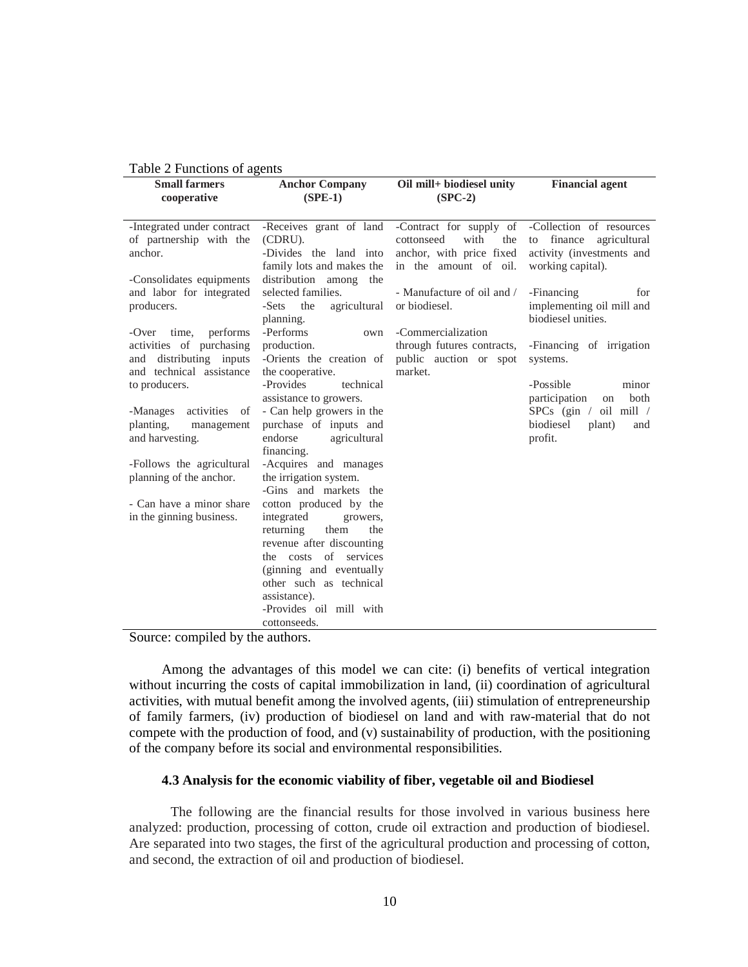|                                                                                                                                                                                                                                     |                                                                                                           | Table 2 Functions of agents                                                                                          |  |  |  |  |
|-------------------------------------------------------------------------------------------------------------------------------------------------------------------------------------------------------------------------------------|-----------------------------------------------------------------------------------------------------------|----------------------------------------------------------------------------------------------------------------------|--|--|--|--|
| <b>Anchor Company</b><br>$(SPE-1)$                                                                                                                                                                                                  | Oil mill+ biodiesel unity<br>$(SPC-2)$                                                                    | <b>Financial agent</b>                                                                                               |  |  |  |  |
| -Receives grant of land<br>(CDRU).<br>-Divides the land into<br>family lots and makes the                                                                                                                                           | -Contract for supply of<br>with<br>cottonseed<br>the<br>anchor, with price fixed<br>in the amount of oil. | -Collection of resources<br>finance agricultural<br>to<br>activity (investments and<br>working capital).             |  |  |  |  |
| selected families.<br>-Sets the<br>agricultural<br>planning.                                                                                                                                                                        | - Manufacture of oil and /<br>or biodiesel.                                                               | -Financing<br>for<br>implementing oil mill and<br>biodiesel unities.                                                 |  |  |  |  |
| production.<br>-Orients the creation of<br>the cooperative.                                                                                                                                                                         | through futures contracts,<br>public auction or spot<br>market.                                           | -Financing of irrigation<br>systems.                                                                                 |  |  |  |  |
| assistance to growers.<br>- Can help growers in the<br>purchase of inputs and<br>endorse<br>agricultural                                                                                                                            |                                                                                                           | -Possible<br>minor<br>participation<br>both<br>on<br>SPCs (gin / oil mill /<br>biodiesel<br>plant)<br>and<br>profit. |  |  |  |  |
| -Acquires and manages<br>the irrigation system.<br>-Gins and markets the                                                                                                                                                            |                                                                                                           |                                                                                                                      |  |  |  |  |
| cotton produced by the<br>integrated<br>growers,<br>returning<br>them<br>the<br>revenue after discounting<br>the costs of services<br>(ginning and eventually<br>other such as technical<br>assistance).<br>-Provides oil mill with |                                                                                                           |                                                                                                                      |  |  |  |  |
|                                                                                                                                                                                                                                     | distribution among<br>the<br>-Performs<br>own<br>-Provides<br>technical<br>financing.<br>cottonseeds.     | -Commercialization                                                                                                   |  |  |  |  |

Source: compiled by the authors.

Among the advantages of this model we can cite: (i) benefits of vertical integration without incurring the costs of capital immobilization in land, (ii) coordination of agricultural activities, with mutual benefit among the involved agents, (iii) stimulation of entrepreneurship of family farmers, (iv) production of biodiesel on land and with raw-material that do not compete with the production of food, and (v) sustainability of production, with the positioning of the company before its social and environmental responsibilities.

## **4.3 Analysis for the economic viability of fiber, vegetable oil and Biodiesel**

The following are the financial results for those involved in various business here analyzed: production, processing of cotton, crude oil extraction and production of biodiesel. Are separated into two stages, the first of the agricultural production and processing of cotton, and second, the extraction of oil and production of biodiesel.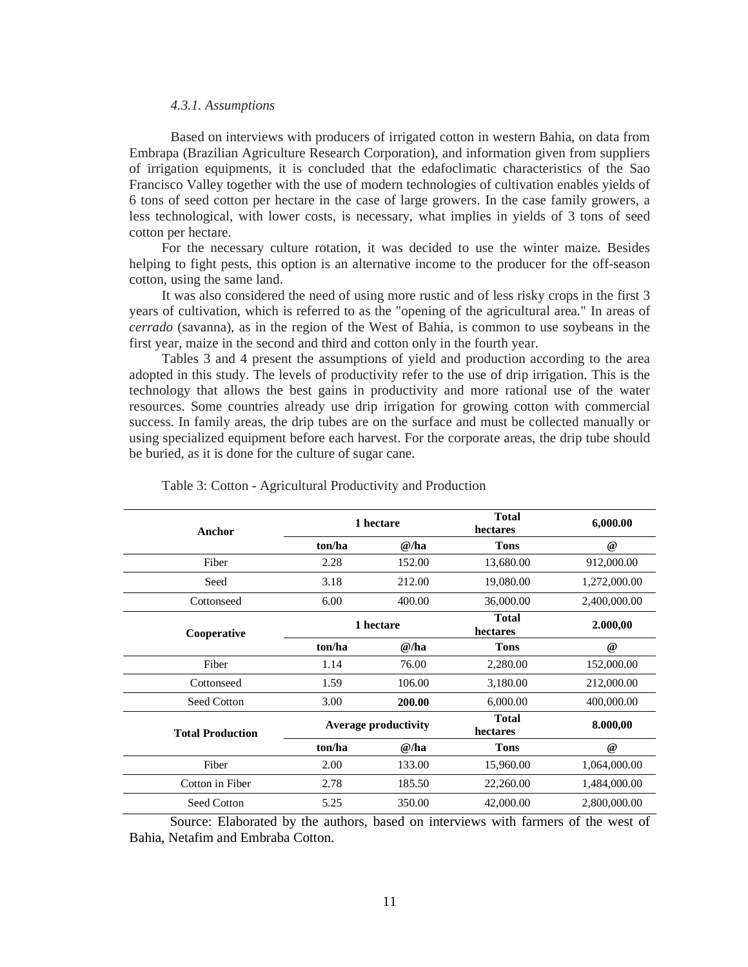#### *4.3.1. Assumptions*

Based on interviews with producers of irrigated cotton in western Bahia, on data from Embrapa (Brazilian Agriculture Research Corporation), and information given from suppliers of irrigation equipments, it is concluded that the edafoclimatic characteristics of the Sao Francisco Valley together with the use of modern technologies of cultivation enables yields of 6 tons of seed cotton per hectare in the case of large growers. In the case family growers, a less technological, with lower costs, is necessary, what implies in yields of 3 tons of seed cotton per hectare.

For the necessary culture rotation, it was decided to use the winter maize. Besides helping to fight pests, this option is an alternative income to the producer for the off-season cotton, using the same land.

It was also considered the need of using more rustic and of less risky crops in the first 3 years of cultivation, which is referred to as the "opening of the agricultural area." In areas of *cerrado* (savanna), as in the region of the West of Bahia, is common to use soybeans in the first year, maize in the second and third and cotton only in the fourth year.

Tables 3 and 4 present the assumptions of yield and production according to the area adopted in this study. The levels of productivity refer to the use of drip irrigation. This is the technology that allows the best gains in productivity and more rational use of the water resources. Some countries already use drip irrigation for growing cotton with commercial success. In family areas, the drip tubes are on the surface and must be collected manually or using specialized equipment before each harvest. For the corporate areas, the drip tube should be buried, as it is done for the culture of sugar cane.

| Anchor                  |        | 1 hectare                   | <b>Total</b><br>hectares | 6,000.00     |
|-------------------------|--------|-----------------------------|--------------------------|--------------|
|                         | ton/ha | @/ha                        | <b>Tons</b>              | $^{\omega}$  |
| Fiber                   | 2.28   | 152.00                      | 13,680.00                | 912,000.00   |
| Seed                    | 3.18   | 212.00                      | 19,080.00                | 1,272,000.00 |
| Cottonseed              | 6.00   | 400.00                      | 36,000.00                | 2,400,000.00 |
| Cooperative             |        | 1 hectare                   | <b>Total</b><br>hectares | 2.000,00     |
|                         | ton/ha | @/ha                        | <b>Tons</b>              | $^{\omega}$  |
| Fiber                   | 1.14   | 76.00                       | 2,280.00                 | 152,000.00   |
| Cottonseed              | 1.59   | 106.00                      | 3,180.00                 | 212,000.00   |
| Seed Cotton             | 3.00   | 200.00                      | 6,000.00                 | 400,000.00   |
| <b>Total Production</b> |        | <b>Average productivity</b> | <b>Total</b><br>hectares | 8.000,00     |
|                         | ton/ha | @/ha                        | <b>Tons</b>              | $^{\omega}$  |
| Fiber                   | 2.00   | 133.00                      | 15,960.00                | 1,064,000.00 |
| Cotton in Fiber         | 2.78   | 185.50                      | 22,260.00                | 1,484,000.00 |
| Seed Cotton             | 5.25   | 350.00                      | 42,000.00                | 2,800,000.00 |

|  |  | Table 3: Cotton - Agricultural Productivity and Production |  |
|--|--|------------------------------------------------------------|--|
|  |  |                                                            |  |

 Source: Elaborated by the authors, based on interviews with farmers of the west of Bahia, Netafim and Embraba Cotton.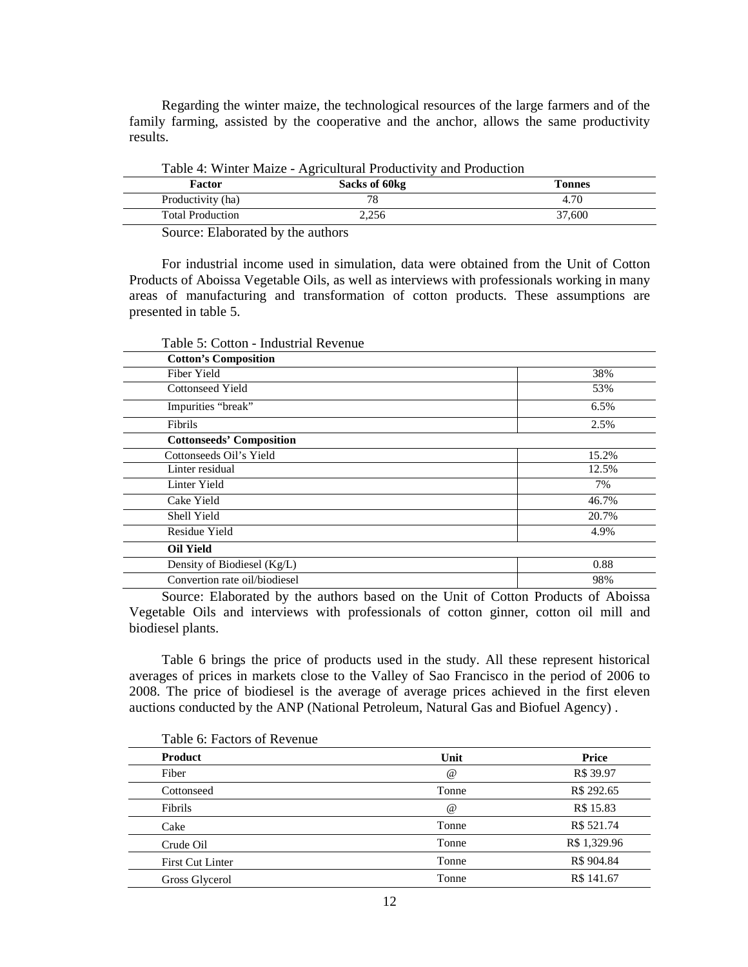Regarding the winter maize, the technological resources of the large farmers and of the family farming, assisted by the cooperative and the anchor, allows the same productivity results.

| Table 4: Willer Maize - Agricultural Productivity and Production                                                |               |        |  |
|-----------------------------------------------------------------------------------------------------------------|---------------|--------|--|
| Factor                                                                                                          | Sacks of 60kg | Tonnes |  |
| Productivity (ha)                                                                                               |               | 4.70   |  |
| <b>Total Production</b>                                                                                         | 2.256         | 37.600 |  |
| the contract of the contract of the contract of the contract of the contract of the contract of the contract of |               |        |  |

| Table 4: Winter Maize - Agricultural Productivity and Production |  |  |
|------------------------------------------------------------------|--|--|
|                                                                  |  |  |

Source: Elaborated by the authors

For industrial income used in simulation, data were obtained from the Unit of Cotton Products of Aboissa Vegetable Oils, as well as interviews with professionals working in many areas of manufacturing and transformation of cotton products. These assumptions are presented in table 5.

| <b>Cotton's Composition</b>     |       |
|---------------------------------|-------|
| Fiber Yield                     | 38%   |
| Cottonseed Yield                | 53%   |
| Impurities "break"              | 6.5%  |
| Fibrils                         | 2.5%  |
| <b>Cottonseeds' Composition</b> |       |
| Cottonseeds Oil's Yield         | 15.2% |
| Linter residual                 | 12.5% |
| Linter Yield                    | 7%    |
| Cake Yield                      | 46.7% |
| Shell Yield                     | 20.7% |
| Residue Yield                   | 4.9%  |
| <b>Oil Yield</b>                |       |
| Density of Biodiesel (Kg/L)     | 0.88  |
| Convertion rate oil/biodiesel   | 98%   |

Table 5: Cotton - Industrial Revenue

Source: Elaborated by the authors based on the Unit of Cotton Products of Aboissa Vegetable Oils and interviews with professionals of cotton ginner, cotton oil mill and biodiesel plants.

Table 6 brings the price of products used in the study. All these represent historical averages of prices in markets close to the Valley of Sao Francisco in the period of 2006 to 2008. The price of biodiesel is the average of average prices achieved in the first eleven auctions conducted by the ANP (National Petroleum, Natural Gas and Biofuel Agency) .

| Product                 | Unit        | Price        |
|-------------------------|-------------|--------------|
| Fiber                   | $^{\omega}$ | R\$ 39.97    |
| Cottonseed              | Tonne       | R\$ 292.65   |
| Fibrils                 | $^{\circ}$  | R\$ 15.83    |
| Cake                    | Tonne       | R\$ 521.74   |
| Crude Oil               | Tonne       | R\$ 1,329.96 |
| <b>First Cut Linter</b> | Tonne       | R\$ 904.84   |
| Gross Glycerol          | Tonne       | R\$ 141.67   |

# Table 6: Factors of Revenue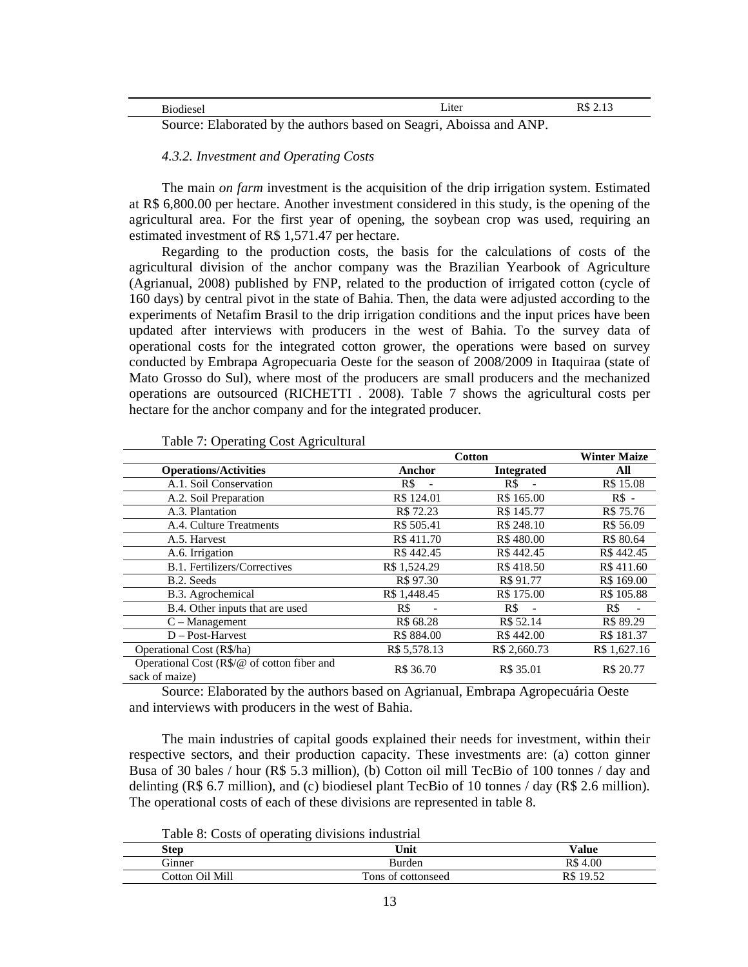| мне    | Liter                                                                   | æ<br>TΛΩ<br>ل 1.4 |
|--------|-------------------------------------------------------------------------|-------------------|
| $\sim$ | .<br>Western Dilet and the first settle and began the contract where we |                   |

Source: Elaborated by the authors based on Seagri, Aboissa and ANP.

*4.3.2. Investment and Operating Costs* 

The main *on farm* investment is the acquisition of the drip irrigation system. Estimated at R\$ 6,800.00 per hectare. Another investment considered in this study, is the opening of the agricultural area. For the first year of opening, the soybean crop was used, requiring an estimated investment of R\$ 1,571.47 per hectare.

Regarding to the production costs, the basis for the calculations of costs of the agricultural division of the anchor company was the Brazilian Yearbook of Agriculture (Agrianual, 2008) published by FNP, related to the production of irrigated cotton (cycle of 160 days) by central pivot in the state of Bahia. Then, the data were adjusted according to the experiments of Netafim Brasil to the drip irrigation conditions and the input prices have been updated after interviews with producers in the west of Bahia. To the survey data of operational costs for the integrated cotton grower, the operations were based on survey conducted by Embrapa Agropecuaria Oeste for the season of 2008/2009 in Itaquiraa (state of Mato Grosso do Sul), where most of the producers are small producers and the mechanized operations are outsourced (RICHETTI . 2008). Table 7 shows the agricultural costs per hectare for the anchor company and for the integrated producer.

|                                                               |              | Cotton            | <b>Winter Maize</b> |
|---------------------------------------------------------------|--------------|-------------------|---------------------|
| <b>Operations/Activities</b>                                  | Anchor       | <b>Integrated</b> | All                 |
| A.1. Soil Conservation                                        | R\$          | R\$               | R\$ 15.08           |
| A.2. Soil Preparation                                         | R\$ 124.01   | R\$ 165.00        | $RS -$              |
| A.3. Plantation                                               | R\$ 72.23    | R\$ 145.77        | R\$ 75.76           |
| A.4. Culture Treatments                                       | R\$ 505.41   | R\$ 248.10        | R\$ 56.09           |
| A.5. Harvest                                                  | R\$411.70    | R\$480.00         | R\$ 80.64           |
| A.6. Irrigation                                               | R\$442.45    | R\$442.45         | R\$442.45           |
| B.1. Fertilizers/Correctives                                  | R\$ 1.524.29 | R\$418.50         | R\$411.60           |
| B.2. Seeds                                                    | R\$ 97.30    | R\$ 91.77         | R\$ 169.00          |
| B.3. Agrochemical                                             | R\$ 1,448.45 | R\$ 175.00        | R\$ 105.88          |
| B.4. Other inputs that are used                               | R\$          | R\$               | R\$                 |
| $C -$ Management                                              | R\$ 68.28    | R\$ 52.14         | R\$ 89.29           |
| $D - Post-Harvest$                                            | R\$ 884.00   | R\$442.00         | R\$ 181.37          |
| Operational Cost (R\$/ha)                                     | R\$ 5,578.13 | R\$ 2,660.73      | R\$ 1,627.16        |
| Operational Cost (R\$/@ of cotton fiber and<br>sack of maize) | R\$ 36.70    | R\$ 35.01         | R\$ 20.77           |

|  | Table 7: Operating Cost Agricultural |
|--|--------------------------------------|
|  |                                      |

Source: Elaborated by the authors based on Agrianual, Embrapa Agropecuária Oeste and interviews with producers in the west of Bahia.

The main industries of capital goods explained their needs for investment, within their respective sectors, and their production capacity. These investments are: (a) cotton ginner Busa of 30 bales / hour (R\$ 5.3 million), (b) Cotton oil mill TecBio of 100 tonnes / day and delinting (R\$ 6.7 million), and (c) biodiesel plant TecBio of 10 tonnes / day (R\$ 2.6 million). The operational costs of each of these divisions are represented in table 8.

Table 8: Costs of operating divisions industrial

| Step            | <br>Unit           | Value        |
|-----------------|--------------------|--------------|
| Ginner          | Burden             | $R\$<br>4.00 |
| Cotton Oil Mill | Tons of cottonseed | R\$<br>19.52 |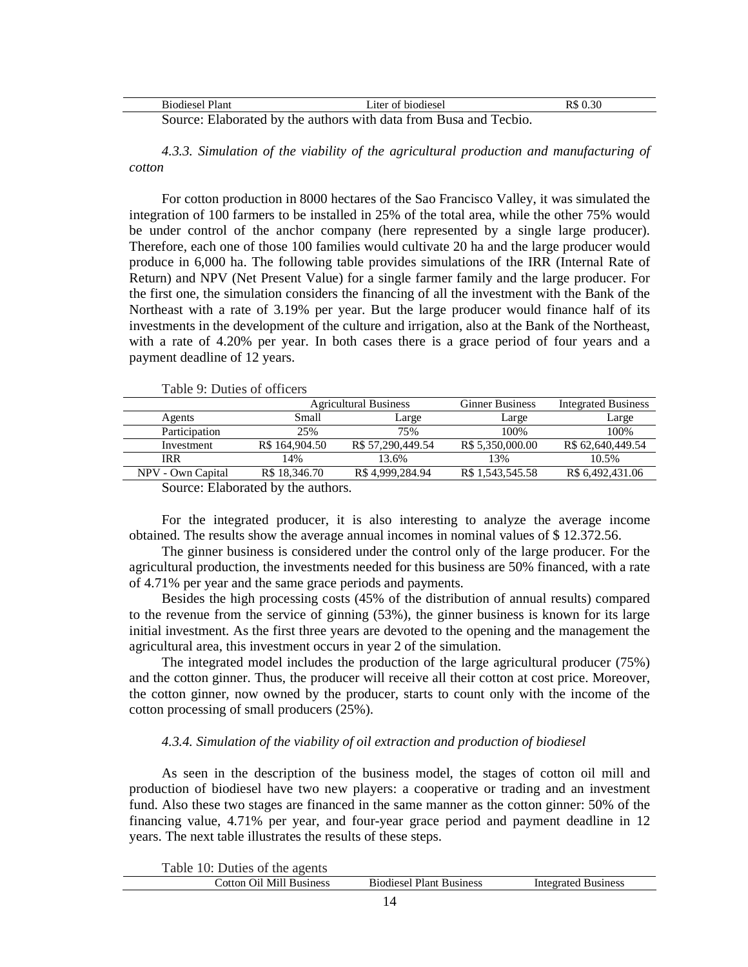| Biodiesel Plant | Liter of biodiesel                                                | R\$ 0.30 |
|-----------------|-------------------------------------------------------------------|----------|
|                 | Source: Elaborated by the authors with data from Busa and Tecbio. |          |

*4.3.3. Simulation of the viability of the agricultural production and manufacturing of cotton* 

For cotton production in 8000 hectares of the Sao Francisco Valley, it was simulated the integration of 100 farmers to be installed in 25% of the total area, while the other 75% would be under control of the anchor company (here represented by a single large producer). Therefore, each one of those 100 families would cultivate 20 ha and the large producer would produce in 6,000 ha. The following table provides simulations of the IRR (Internal Rate of Return) and NPV (Net Present Value) for a single farmer family and the large producer. For the first one, the simulation considers the financing of all the investment with the Bank of the Northeast with a rate of 3.19% per year. But the large producer would finance half of its investments in the development of the culture and irrigation, also at the Bank of the Northeast, with a rate of 4.20% per year. In both cases there is a grace period of four years and a payment deadline of 12 years.

Table 9: Duties of officers

|                   |                | <b>Agricultural Business</b> | <b>Ginner Business</b> | <b>Integrated Business</b> |  |
|-------------------|----------------|------------------------------|------------------------|----------------------------|--|
| Agents            | Small          | Large                        | Large                  | Large                      |  |
| Participation     | 25%            | 75%                          | 100%                   | 100%                       |  |
| Investment        | R\$ 164,904.50 | R\$ 57,290,449.54            | R\$ 5,350,000.00       | R\$ 62,640,449.54          |  |
| <b>IRR</b>        | 14%            | 13.6%                        | 13%                    | 10.5%                      |  |
| NPV - Own Capital | R\$ 18,346.70  | R\$4.999.284.94              | R\$ 1.543.545.58       | R\$ 6.492,431.06           |  |
|                   |                |                              |                        |                            |  |

Source: Elaborated by the authors.

For the integrated producer, it is also interesting to analyze the average income obtained. The results show the average annual incomes in nominal values of \$ 12.372.56.

The ginner business is considered under the control only of the large producer. For the agricultural production, the investments needed for this business are 50% financed, with a rate of 4.71% per year and the same grace periods and payments.

Besides the high processing costs (45% of the distribution of annual results) compared to the revenue from the service of ginning (53%), the ginner business is known for its large initial investment. As the first three years are devoted to the opening and the management the agricultural area, this investment occurs in year 2 of the simulation.

The integrated model includes the production of the large agricultural producer (75%) and the cotton ginner. Thus, the producer will receive all their cotton at cost price. Moreover, the cotton ginner, now owned by the producer, starts to count only with the income of the cotton processing of small producers (25%).

## *4.3.4. Simulation of the viability of oil extraction and production of biodiesel*

As seen in the description of the business model, the stages of cotton oil mill and production of biodiesel have two new players: a cooperative or trading and an investment fund. Also these two stages are financed in the same manner as the cotton ginner: 50% of the financing value, 4.71% per year, and four-year grace period and payment deadline in 12 years. The next table illustrates the results of these steps.

| Table 10: Duties of the agents |                                 |                     |
|--------------------------------|---------------------------------|---------------------|
| Cotton Oil Mill Business       | <b>Biodiesel Plant Business</b> | Integrated Business |
|                                |                                 |                     |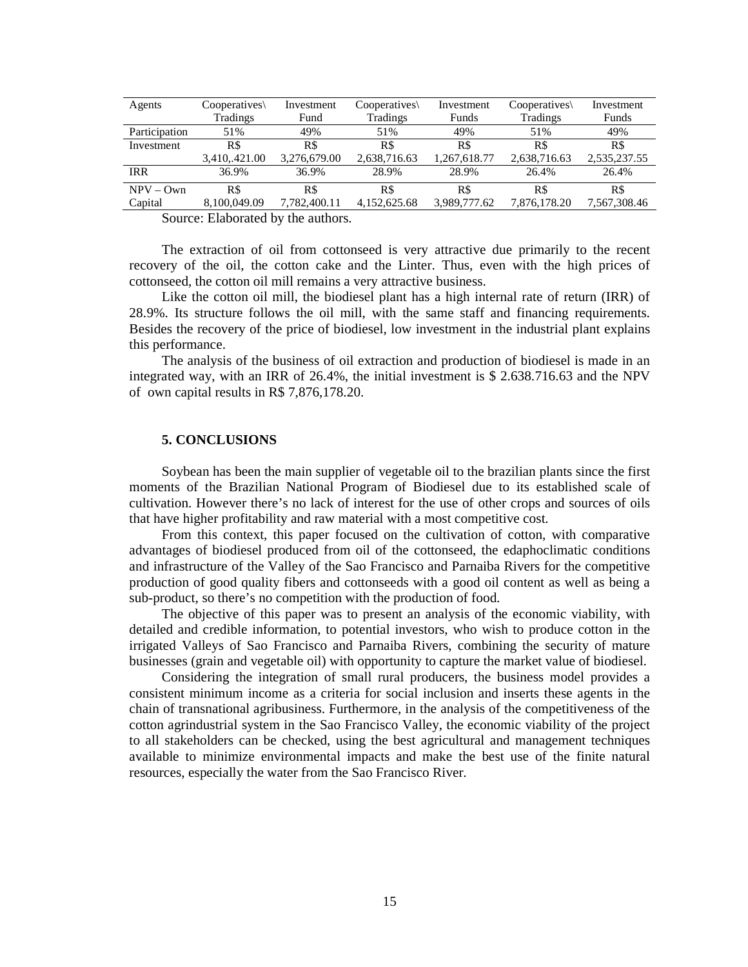| Agents        | Cooperatives  | Investment   | Cooperatives | Investment   | Cooperatives\   | Investment   |
|---------------|---------------|--------------|--------------|--------------|-----------------|--------------|
|               | Tradings      | Fund         | Tradings     | Funds        | <b>Tradings</b> | Funds        |
| Participation | 51%           | 49%          | 51%          | 49%          | 51%             | 49%          |
| Investment    | R\$           | R\$          | R\$          | R\$          | R\$             | R\$          |
|               | 3,410,.421.00 | 3,276,679.00 | 2,638,716.63 | 1,267,618.77 | 2,638,716.63    | 2,535,237.55 |
| <b>IRR</b>    | 36.9%         | 36.9%        | 28.9%        | 28.9%        | 26.4%           | 26.4%        |
| $NPV - Own$   | R\$           | R\$          | R\$          | R\$          | R\$             | R\$          |
| Capital       | 8,100,049.09  | 7,782,400.11 | 4,152,625.68 | 3,989,777.62 | 7,876,178.20    | 7,567,308.46 |
|               |               |              |              |              |                 |              |

Source: Elaborated by the authors.

The extraction of oil from cottonseed is very attractive due primarily to the recent recovery of the oil, the cotton cake and the Linter. Thus, even with the high prices of cottonseed, the cotton oil mill remains a very attractive business.

Like the cotton oil mill, the biodiesel plant has a high internal rate of return (IRR) of 28.9%. Its structure follows the oil mill, with the same staff and financing requirements. Besides the recovery of the price of biodiesel, low investment in the industrial plant explains this performance.

The analysis of the business of oil extraction and production of biodiesel is made in an integrated way, with an IRR of 26.4%, the initial investment is \$ 2.638.716.63 and the NPV of own capital results in R\$ 7,876,178.20.

# **5. CONCLUSIONS**

Soybean has been the main supplier of vegetable oil to the brazilian plants since the first moments of the Brazilian National Program of Biodiesel due to its established scale of cultivation. However there's no lack of interest for the use of other crops and sources of oils that have higher profitability and raw material with a most competitive cost.

From this context, this paper focused on the cultivation of cotton, with comparative advantages of biodiesel produced from oil of the cottonseed, the edaphoclimatic conditions and infrastructure of the Valley of the Sao Francisco and Parnaiba Rivers for the competitive production of good quality fibers and cottonseeds with a good oil content as well as being a sub-product, so there's no competition with the production of food.

The objective of this paper was to present an analysis of the economic viability, with detailed and credible information, to potential investors, who wish to produce cotton in the irrigated Valleys of Sao Francisco and Parnaiba Rivers, combining the security of mature businesses (grain and vegetable oil) with opportunity to capture the market value of biodiesel.

Considering the integration of small rural producers, the business model provides a consistent minimum income as a criteria for social inclusion and inserts these agents in the chain of transnational agribusiness. Furthermore, in the analysis of the competitiveness of the cotton agrindustrial system in the Sao Francisco Valley, the economic viability of the project to all stakeholders can be checked, using the best agricultural and management techniques available to minimize environmental impacts and make the best use of the finite natural resources, especially the water from the Sao Francisco River.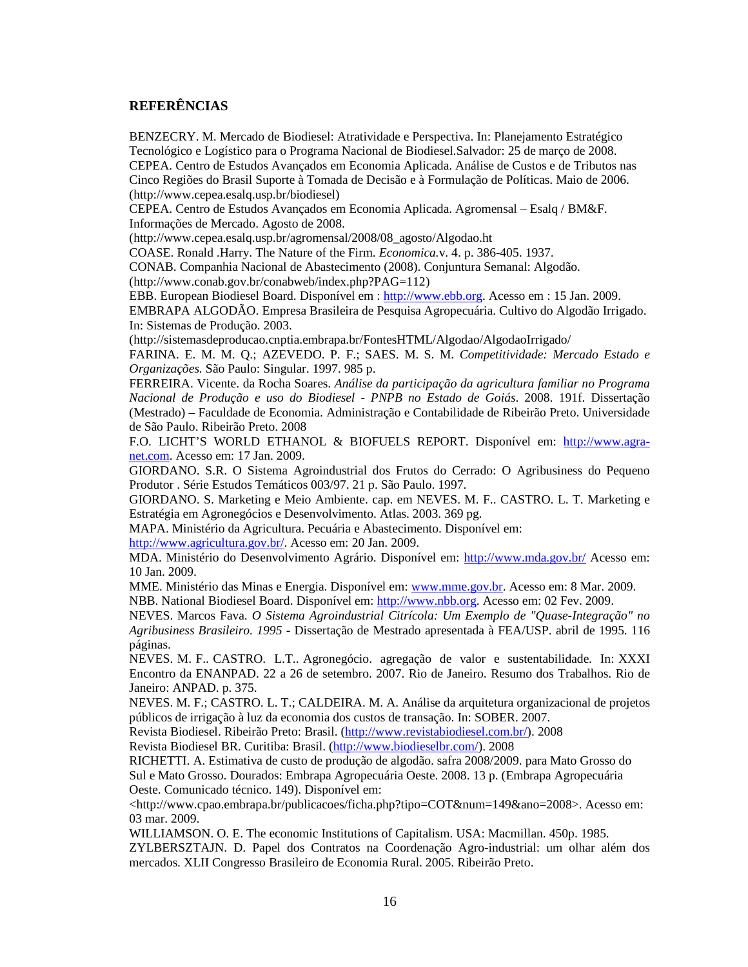# **REFERÊNCIAS**

BENZECRY. M. Mercado de Biodiesel: Atratividade e Perspectiva. In: Planejamento Estratégico Tecnológico e Logístico para o Programa Nacional de Biodiesel.Salvador: 25 de março de 2008. CEPEA. Centro de Estudos Avançados em Economia Aplicada. Análise de Custos e de Tributos nas Cinco Regiões do Brasil Suporte à Tomada de Decisão e à Formulação de Políticas. Maio de 2006. (http://www.cepea.esalq.usp.br/biodiesel)

CEPEA. Centro de Estudos Avançados em Economia Aplicada. Agromensal – Esalq / BM&F. Informações de Mercado. Agosto de 2008.

(http://www.cepea.esalq.usp.br/agromensal/2008/08\_agosto/Algodao.ht

COASE. Ronald .Harry. The Nature of the Firm. *Economica.*v. 4. p. 386-405. 1937.

CONAB. Companhia Nacional de Abastecimento (2008). Conjuntura Semanal: Algodão.

(http://www.conab.gov.br/conabweb/index.php?PAG=112)

EBB. European Biodiesel Board. Disponível em : http://www.ebb.org. Acesso em : 15 Jan. 2009.

EMBRAPA ALGODÃO. Empresa Brasileira de Pesquisa Agropecuária. Cultivo do Algodão Irrigado. In: Sistemas de Produção. 2003.

(http://sistemasdeproducao.cnptia.embrapa.br/FontesHTML/Algodao/AlgodaoIrrigado/

FARINA. E. M. M. Q.; AZEVEDO. P. F.; SAES. M. S. M. *Competitividade: Mercado Estado e Organizações.* São Paulo: Singular. 1997. 985 p.

FERREIRA. Vicente. da Rocha Soares. *Análise da participação da agricultura familiar no Programa Nacional de Produção e uso do Biodiesel - PNPB no Estado de Goiás*. 2008. 191f. Dissertação (Mestrado) – Faculdade de Economia. Administração e Contabilidade de Ribeirão Preto. Universidade de São Paulo. Ribeirão Preto. 2008

F.O. LICHT'S WORLD ETHANOL & BIOFUELS REPORT. Disponível em: http://www.agranet.com. Acesso em: 17 Jan. 2009.

GIORDANO. S.R. O Sistema Agroindustrial dos Frutos do Cerrado: O Agribusiness do Pequeno Produtor . Série Estudos Temáticos 003/97. 21 p. São Paulo. 1997.

GIORDANO. S. Marketing e Meio Ambiente. cap. em NEVES. M. F.. CASTRO. L. T. Marketing e Estratégia em Agronegócios e Desenvolvimento. Atlas. 2003. 369 pg.

MAPA. Ministério da Agricultura. Pecuária e Abastecimento. Disponível em:

http://www.agricultura.gov.br/. Acesso em: 20 Jan. 2009.

MDA. Ministério do Desenvolvimento Agrário. Disponível em: http://www.mda.gov.br/ Acesso em: 10 Jan. 2009.

MME. Ministério das Minas e Energia. Disponível em: www.mme.gov.br. Acesso em: 8 Mar. 2009. NBB. National Biodiesel Board. Disponível em: http://www.nbb.org. Acesso em: 02 Fev. 2009.

NEVES. Marcos Fava. *O Sistema Agroindustrial Citrícola: Um Exemplo de "Quase-Integração" no Agribusiness Brasileiro. 1995* - Dissertação de Mestrado apresentada à FEA/USP. abril de 1995. 116 páginas.

NEVES. M. F.. CASTRO. L.T.. Agronegócio. agregação de valor e sustentabilidade. In: XXXI Encontro da ENANPAD. 22 a 26 de setembro. 2007. Rio de Janeiro. Resumo dos Trabalhos. Rio de Janeiro: ANPAD. p. 375.

NEVES. M. F.; CASTRO. L. T.; CALDEIRA. M. A. Análise da arquitetura organizacional de projetos públicos de irrigação à luz da economia dos custos de transação. In: SOBER. 2007.

Revista Biodiesel. Ribeirão Preto: Brasil. (http://www.revistabiodiesel.com.br/). 2008

Revista Biodiesel BR. Curitiba: Brasil. (http://www.biodieselbr.com/). 2008

RICHETTI. A. Estimativa de custo de produção de algodão. safra 2008/2009. para Mato Grosso do Sul e Mato Grosso. Dourados: Embrapa Agropecuária Oeste. 2008. 13 p. (Embrapa Agropecuária Oeste. Comunicado técnico. 149). Disponível em:

 $\langle$ http://www.cpao.embrapa.br/publicacoes/ficha.php?tipo=COT&num=149&ano=2008>. Acesso em: 03 mar. 2009.

WILLIAMSON. O. E. The economic Institutions of Capitalism. USA: Macmillan. 450p. 1985.

ZYLBERSZTAJN. D. Papel dos Contratos na Coordenação Agro-industrial: um olhar além dos mercados. XLII Congresso Brasileiro de Economia Rural. 2005. Ribeirão Preto.